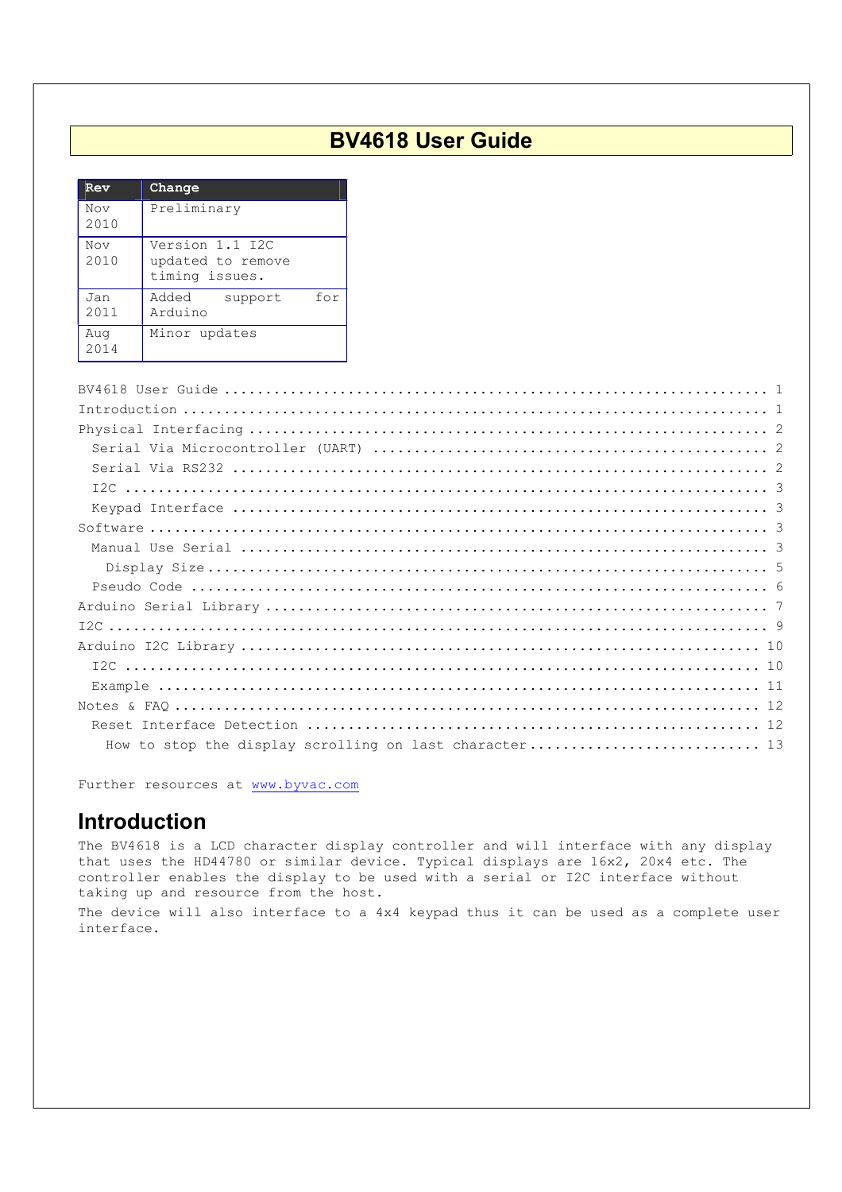# **BV4618 User Guide**

| Rev         | Change                                                 |
|-------------|--------------------------------------------------------|
| Nov<br>2010 | Preliminary                                            |
| Nov<br>2010 | Version 1.1 I2C<br>updated to remove<br>timing issues. |
| Jan<br>2011 | for<br>Added<br>support<br>Arduino                     |
| Auq<br>2014 | Minor updates                                          |

| How to stop the display scrolling on last character 13 |
|--------------------------------------------------------|

Further resources at www.byvac.com

# **Introduction**

The BV4618 is a LCD character display controller and will interface with any display that uses the HD44780 or similar device. Typical displays are 16x2, 20x4 etc. The controller enables the display to be used with a serial or I2C interface without taking up and resource from the host.

The device will also interface to a 4x4 keypad thus it can be used as a complete user interface.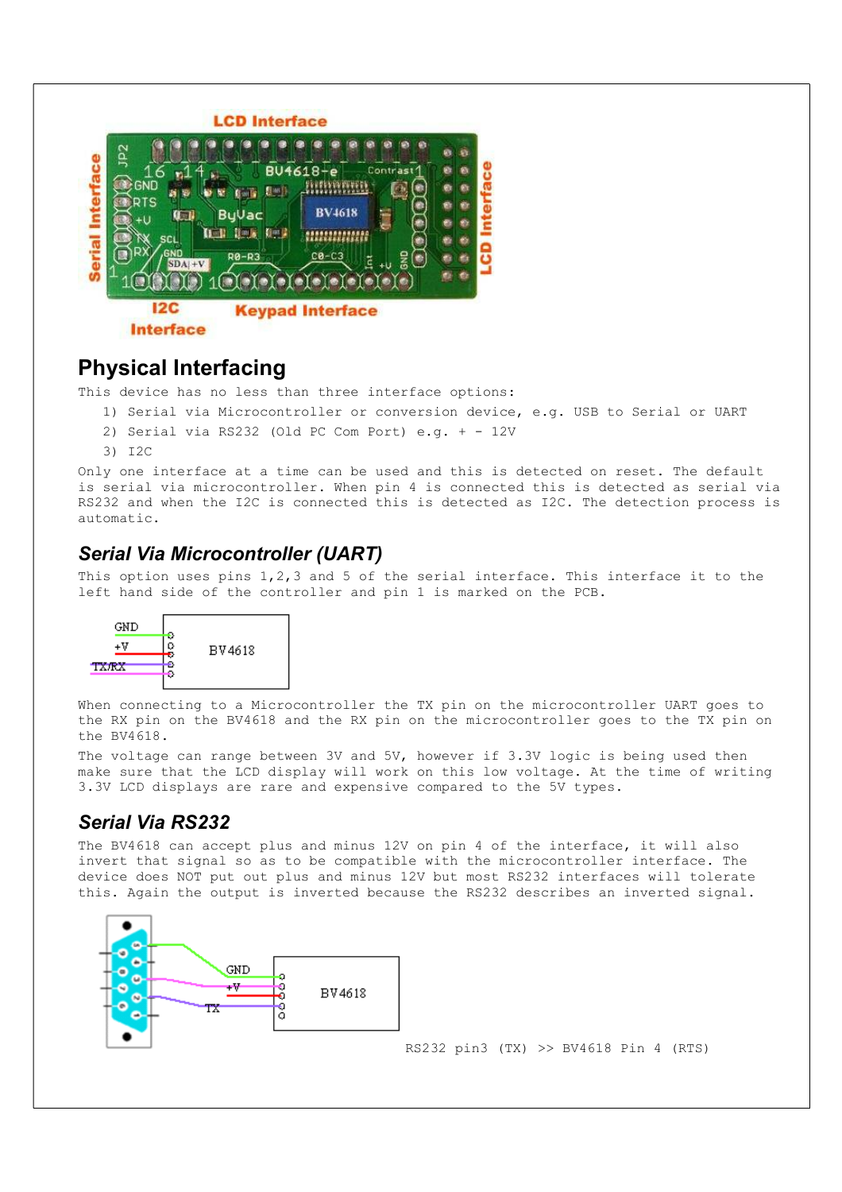

# **Physical Interfacing**

This device has no less than three interface options:

1) Serial via Microcontroller or conversion device, e.g. USB to Serial or UART

- 2) Serial via RS232 (Old PC Com Port) e.g. + 12V
- 3) I2C

Only one interface at a time can be used and this is detected on reset. The default is serial via microcontroller. When pin 4 is connected this is detected as serial via RS232 and when the I2C is connected this is detected as I2C. The detection process is automatic.

## *Serial Via Microcontroller (UART)*

This option uses pins 1,2,3 and 5 of the serial interface. This interface it to the left hand side of the controller and pin 1 is marked on the PCB.



When connecting to a Microcontroller the TX pin on the microcontroller UART goes to the RX pin on the BV4618 and the RX pin on the microcontroller goes to the TX pin on the BV4618.

The voltage can range between 3V and 5V, however if 3.3V logic is being used then make sure that the LCD display will work on this low voltage. At the time of writing 3.3V LCD displays are rare and expensive compared to the 5V types.

# *Serial Via RS232*

The BV4618 can accept plus and minus 12V on pin 4 of the interface, it will also invert that signal so as to be compatible with the microcontroller interface. The device does NOT put out plus and minus 12V but most RS232 interfaces will tolerate this. Again the output is inverted because the RS232 describes an inverted signal.



RS232 pin3 (TX) >> BV4618 Pin 4 (RTS)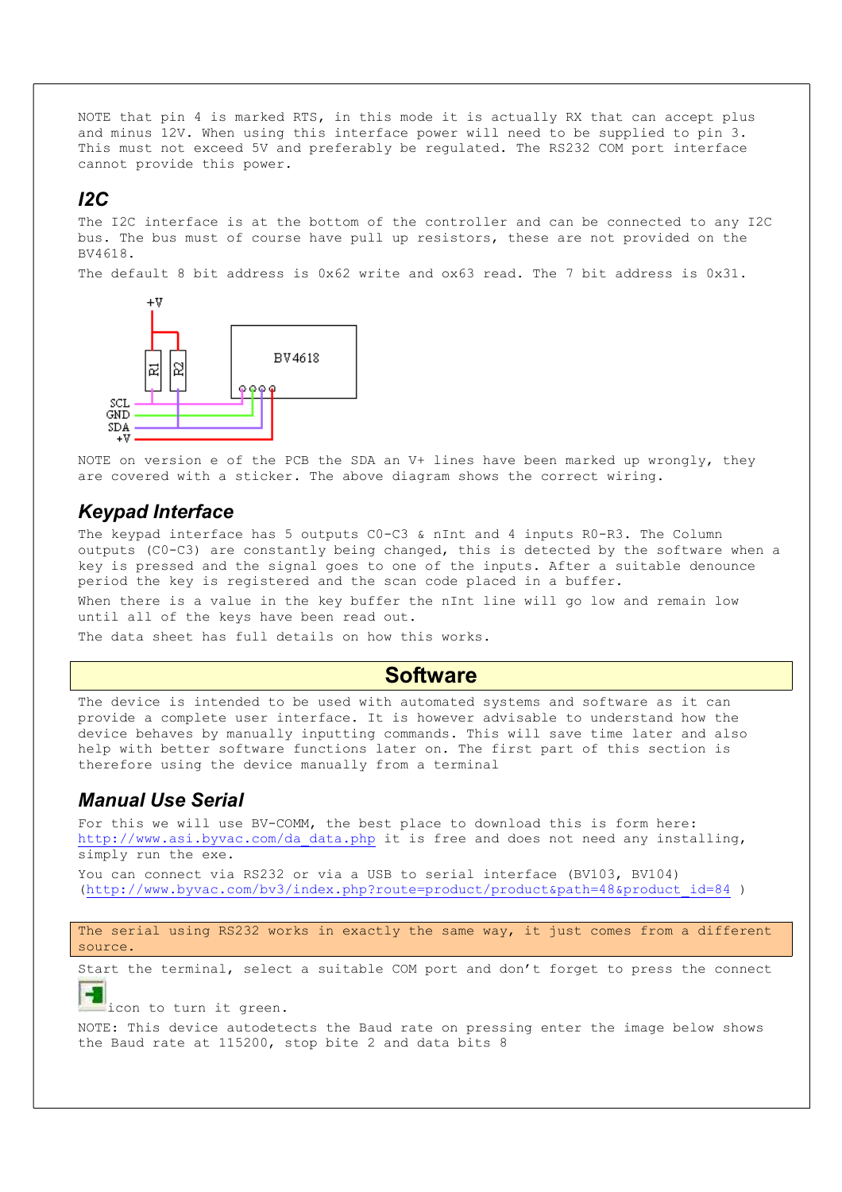NOTE that pin 4 is marked RTS, in this mode it is actually RX that can accept plus and minus 12V. When using this interface power will need to be supplied to pin 3. This must not exceed 5V and preferably be regulated. The RS232 COM port interface cannot provide this power.

## *I2C*

The I2C interface is at the bottom of the controller and can be connected to any I2C bus. The bus must of course have pull up resistors, these are not provided on the BV4618.

The default 8 bit address is 0x62 write and ox63 read. The 7 bit address is 0x31.



NOTE on version e of the PCB the SDA an V+ lines have been marked up wrongly, they are covered with a sticker. The above diagram shows the correct wiring.

## *Keypad Interface*

The keypad interface has 5 outputs C0-C3 & nInt and 4 inputs R0-R3. The Column outputs (C0-C3) are constantly being changed, this is detected by the software when a key is pressed and the signal goes to one of the inputs. After a suitable denounce period the key is registered and the scan code placed in a buffer.

When there is a value in the key buffer the nInt line will go low and remain low until all of the keys have been read out.

The data sheet has full details on how this works.

## **Software**

The device is intended to be used with automated systems and software as it can provide a complete user interface. It is however advisable to understand how the device behaves by manually inputting commands. This will save time later and also help with better software functions later on. The first part of this section is therefore using the device manually from a terminal

## *Manual Use Serial*

For this we will use BV-COMM, the best place to download this is form here: http://www.asi.byvac.com/da\_data.php it is free and does not need any installing, simply run the exe.

You can connect via RS232 or via a USB to serial interface (BV103, BV104) (http://www.byvac.com/bv3/index.php?route=product/product&path=48&product\_id=84 )

The serial using RS232 works in exactly the same way, it just comes from a different source.

Start the terminal, select a suitable COM port and don't forget to press the connect

icon to turn it green.

NOTE: This device autodetects the Baud rate on pressing enter the image below shows the Baud rate at 115200, stop bite 2 and data bits 8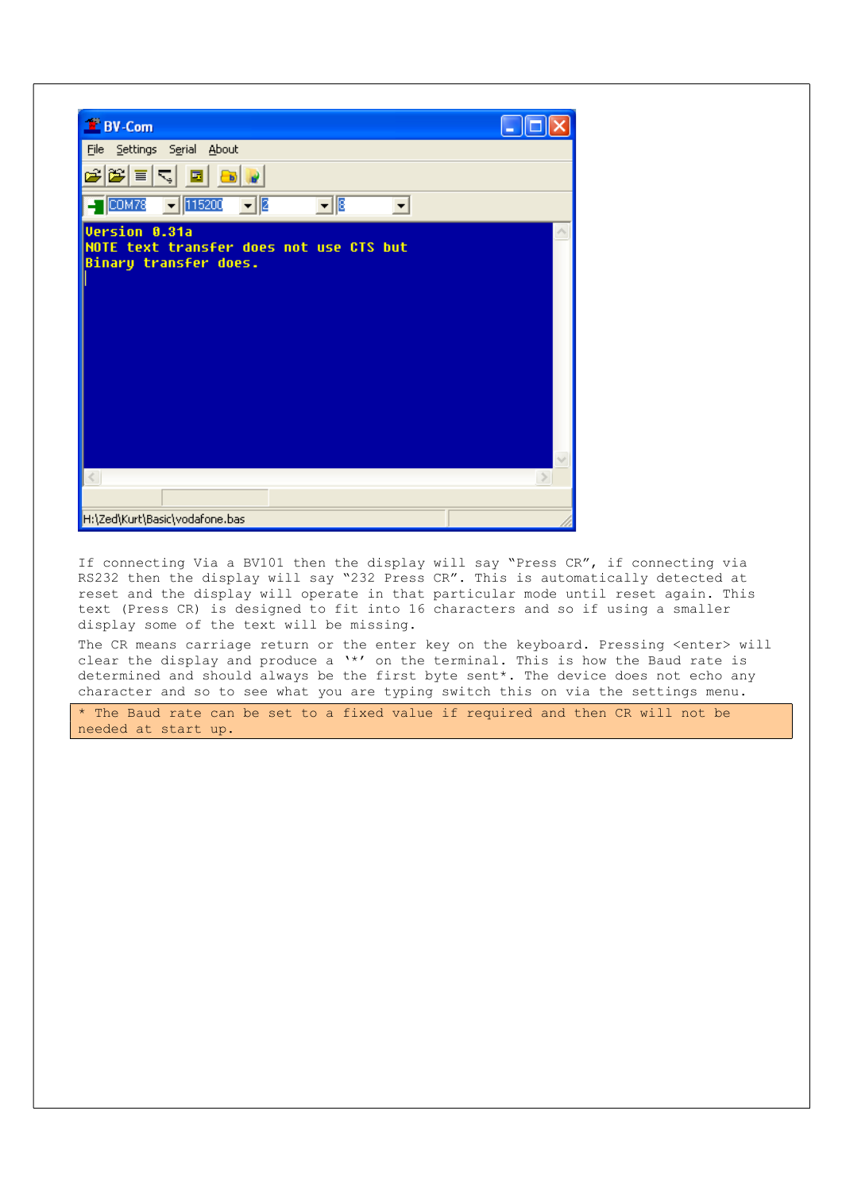| <b>E</b> BV-Com                                                                                                                                                                           | н |
|-------------------------------------------------------------------------------------------------------------------------------------------------------------------------------------------|---|
| File Settings Serial About                                                                                                                                                                |   |
| 698 E J<br>G.<br>$E_{\rm b}$                                                                                                                                                              |   |
| $\overline{\mathbb{F}}$ 8<br>$\boxed{\text{COM78}}$ $\boxed{\text{-}}$ 115200<br>$\overline{\phantom{a}}$ $\overline{\phantom{a}}$ $\overline{\phantom{a}}$ $\overline{\phantom{a}}$<br>▼ |   |
| <b>Version 0.31a</b><br>NOTE text transfer does not use CTS but<br>Binary transfer does.                                                                                                  |   |
|                                                                                                                                                                                           |   |
|                                                                                                                                                                                           |   |
| H:\Zed\Kurt\Basic\vodafone.bas                                                                                                                                                            |   |

If connecting Via a BV101 then the display will say "Press CR", if connecting via RS232 then the display will say "232 Press CR". This is automatically detected at reset and the display will operate in that particular mode until reset again. This text (Press CR) is designed to fit into 16 characters and so if using a smaller display some of the text will be missing.

The CR means carriage return or the enter key on the keyboard. Pressing <enter> will clear the display and produce a '\*' on the terminal. This is how the Baud rate is determined and should always be the first byte sent\*. The device does not echo any character and so to see what you are typing switch this on via the settings menu.

\* The Baud rate can be set to a fixed value if required and then CR will not be needed at start up.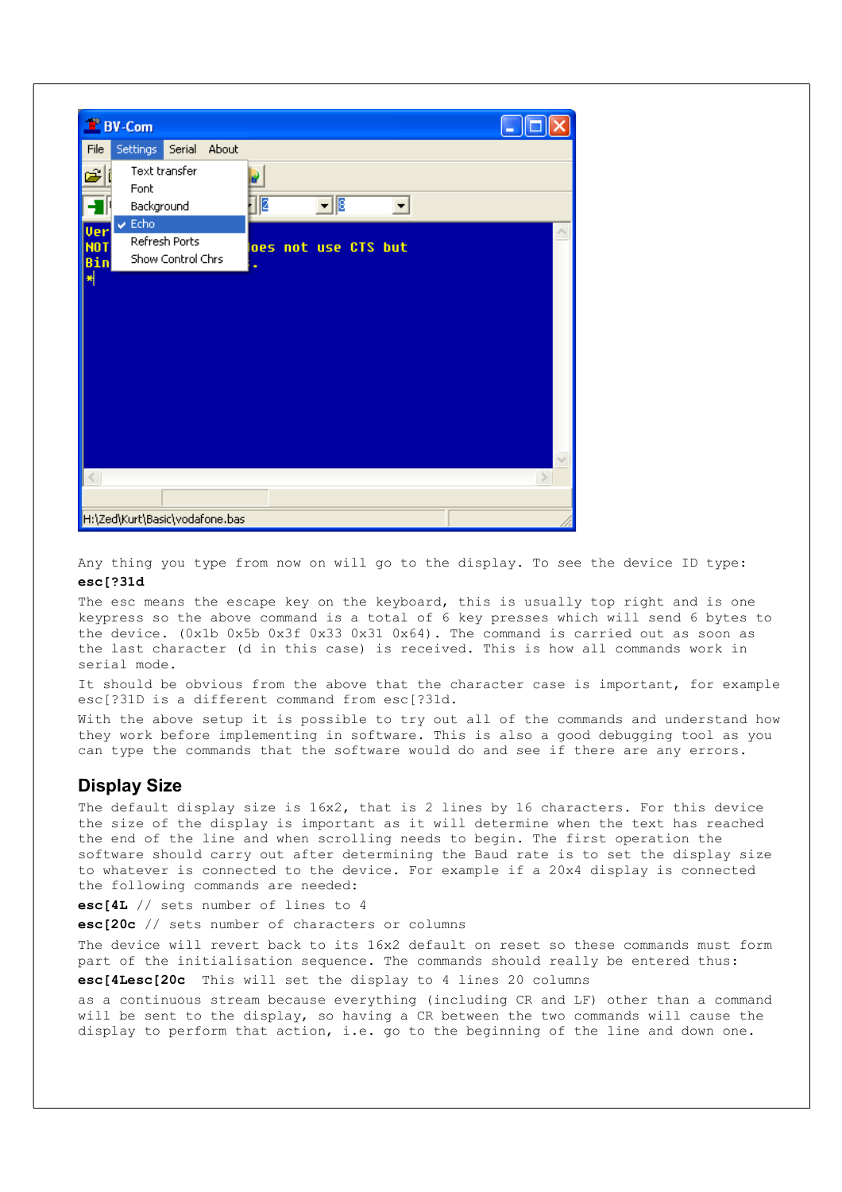| <b>F</b> BV-Com                                         | н                   |  |
|---------------------------------------------------------|---------------------|--|
| Settings<br>File<br>About<br>Serial                     |                     |  |
| Text transfer<br>$\tilde{\mathbf{z}}$                   |                     |  |
| Font<br>Background                                      | 12<br>⊡图<br>▼       |  |
| $\sqrt{\text{Echo}}$<br>Uer                             |                     |  |
| Refresh Ports<br>NOT<br>Show Control Chrs<br><b>Bin</b> | oes not use CTS but |  |
| 푂                                                       |                     |  |
|                                                         |                     |  |
|                                                         |                     |  |
|                                                         |                     |  |
|                                                         |                     |  |
|                                                         |                     |  |
|                                                         |                     |  |
|                                                         |                     |  |
|                                                         |                     |  |
| H:\Zed\Kurt\Basic\vodafone.bas                          |                     |  |

Any thing you type from now on will go to the display. To see the device ID type: **esc[?31d** 

The esc means the escape key on the keyboard, this is usually top right and is one keypress so the above command is a total of 6 key presses which will send 6 bytes to the device. (0x1b 0x5b 0x3f 0x33 0x31 0x64). The command is carried out as soon as the last character (d in this case) is received. This is how all commands work in serial mode.

It should be obvious from the above that the character case is important, for example esc[?31D is a different command from esc[?31d.

With the above setup it is possible to try out all of the commands and understand how they work before implementing in software. This is also a good debugging tool as you can type the commands that the software would do and see if there are any errors.

### **Display Size**

The default display size is 16x2, that is 2 lines by 16 characters. For this device the size of the display is important as it will determine when the text has reached the end of the line and when scrolling needs to begin. The first operation the software should carry out after determining the Baud rate is to set the display size to whatever is connected to the device. For example if a 20x4 display is connected the following commands are needed:

**esc[4L** // sets number of lines to 4

**esc[20c** // sets number of characters or columns

The device will revert back to its 16x2 default on reset so these commands must form part of the initialisation sequence. The commands should really be entered thus:

**esc[4Lesc[20c** This will set the display to 4 lines 20 columns

as a continuous stream because everything (including CR and LF) other than a command will be sent to the display, so having a CR between the two commands will cause the display to perform that action, i.e. go to the beginning of the line and down one.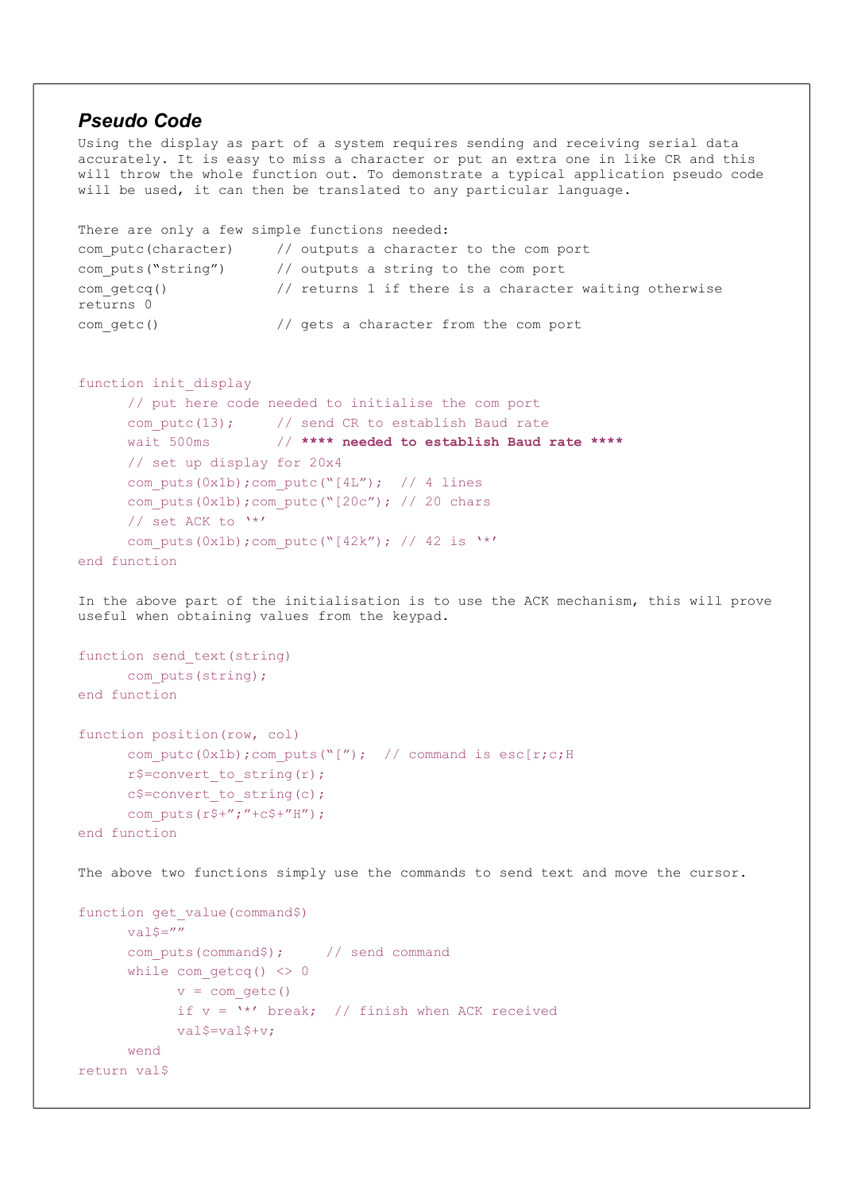## *Pseudo Code*

Using the display as part of a system requires sending and receiving serial data accurately. It is easy to miss a character or put an extra one in like CR and this will throw the whole function out. To demonstrate a typical application pseudo code will be used, it can then be translated to any particular language.

```
There are only a few simple functions needed: 
com_putc(character) // outputs a character to the com port 
com puts("string") // outputs a string to the com port
com getcq() \frac{1}{2} // returns 1 if there is a character waiting otherwise
returns 0 
com qetc() \frac{1}{2} gets a character from the com port
```

```
function init_display
```

```
 // put here code needed to initialise the com port 
       com_putc(13); // send CR to establish Baud rate 
      wait 500ms // **** needed to establish Baud rate ****
      // set up display for 20x4 
     com puts(0x1b);com putc("[4L'); // 4 lines
      com puts(0x1b);com putc("[20c'); // 20 chars
       // set ACK to '*' 
     com puts(0x1b);com putc("[42k"); // 42 is 'end function
```
In the above part of the initialisation is to use the ACK mechanism, this will prove useful when obtaining values from the keypad.

```
function send_text(string) 
       com_puts(string); 
end function
```

```
function position(row, col) 
      com putc(0x1b);com puts("["); // command is esc[r;c;H
     r$=convert to string(r);
      c$=convert_to_string(c);
      com puts(r$+";"+c$+"H");
end function
```
The above two functions simply use the commands to send text and move the cursor.

```
function get value(command$)
      val\=""
      com puts(command$); // send command
      while com qetcq() \leq 0v = com qetc()if v = \sqrt{k'} break; // finish when ACK received
             val$=val$+v; 
     wend 
return val$
```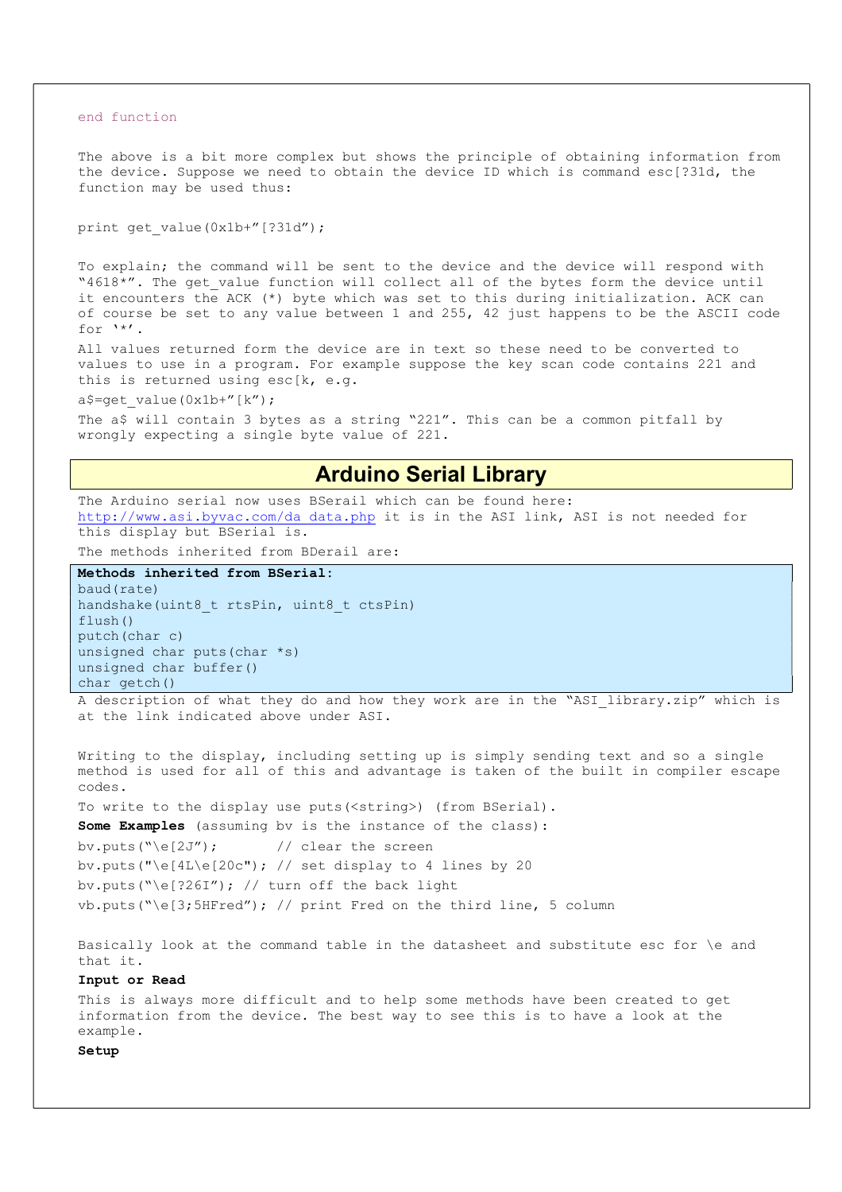end function

The above is a bit more complex but shows the principle of obtaining information from the device. Suppose we need to obtain the device ID which is command esc[?31d, the function may be used thus:

print get value(0x1b+"[?31d");

To explain; the command will be sent to the device and the device will respond with "4618\*". The get\_value function will collect all of the bytes form the device until it encounters the ACK (\*) byte which was set to this during initialization. ACK can of course be set to any value between 1 and 255, 42 just happens to be the ASCII code for '\*'.

All values returned form the device are in text so these need to be converted to values to use in a program. For example suppose the key scan code contains 221 and this is returned using esc[k, e.g.

a\$=get value(0x1b+"[k");

The a\$ will contain 3 bytes as a string "221". This can be a common pitfall by wrongly expecting a single byte value of 221.

## **Arduino Serial Library**

The Arduino serial now uses BSerail which can be found here: http://www.asi.byvac.com/da\_data.php it is in the ASI link, ASI is not needed for this display but BSerial is.

The methods inherited from BDerail are:

```
Methods inherited from BSerial: 
baud(rate) 
handshake(uint8 t rtsPin, uint8 t ctsPin)
flush() 
putch(char c) 
unsigned char puts(char *s) 
unsigned char buffer() 
char getch()
```
A description of what they do and how they work are in the "ASI library.zip" which is at the link indicated above under ASI.

Writing to the display, including setting up is simply sending text and so a single method is used for all of this and advantage is taken of the built in compiler escape codes.

To write to the display use puts(<string>) (from BSerial).

**Some Examples** (assuming bv is the instance of the class): bv.puts(" $\leq$ [2J"); // clear the screen bv.puts("\e[4L\e[20c"); // set display to 4 lines by 20 bv.puts("\e[?26I"); // turn off the back light vb.puts("\e[3;5HFred"); // print Fred on the third line, 5 column

Basically look at the command table in the datasheet and substitute esc for \e and that it.

#### **Input or Read**

This is always more difficult and to help some methods have been created to get information from the device. The best way to see this is to have a look at the example.

**Setup**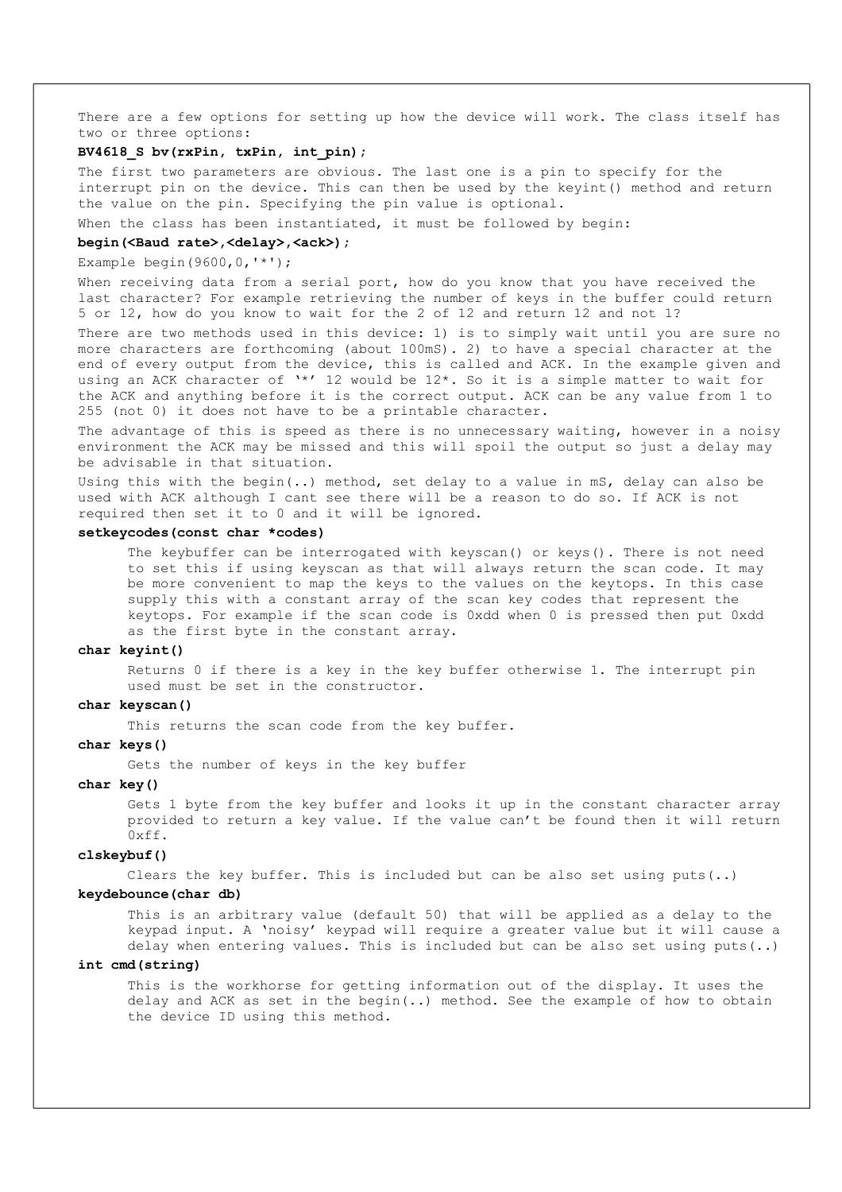There are a few options for setting up how the device will work. The class itself has two or three options:

### **BV4618\_S bv(rxPin, txPin, int\_pin);**

The first two parameters are obvious. The last one is a pin to specify for the interrupt pin on the device. This can then be used by the keyint() method and return the value on the pin. Specifying the pin value is optional.

When the class has been instantiated, it must be followed by begin:

#### **begin(<Baud rate>,<delay>,<ack>);**

Example begin(9600,0,'\*');

When receiving data from a serial port, how do you know that you have received the last character? For example retrieving the number of keys in the buffer could return 5 or 12, how do you know to wait for the 2 of 12 and return 12 and not 1?

There are two methods used in this device: 1) is to simply wait until you are sure no more characters are forthcoming (about 100mS). 2) to have a special character at the end of every output from the device, this is called and ACK. In the example given and using an ACK character of '\*' 12 would be 12\*. So it is a simple matter to wait for the ACK and anything before it is the correct output. ACK can be any value from 1 to 255 (not 0) it does not have to be a printable character.

The advantage of this is speed as there is no unnecessary waiting, however in a noisy environment the ACK may be missed and this will spoil the output so just a delay may be advisable in that situation.

Using this with the begin(..) method, set delay to a value in mS, delay can also be used with ACK although I cant see there will be a reason to do so. If ACK is not required then set it to 0 and it will be ignored.

#### **setkeycodes(const char \*codes)**

The keybuffer can be interrogated with keyscan() or keys(). There is not need to set this if using keyscan as that will always return the scan code. It may be more convenient to map the keys to the values on the keytops. In this case supply this with a constant array of the scan key codes that represent the keytops. For example if the scan code is 0xdd when 0 is pressed then put 0xdd as the first byte in the constant array.

#### **char keyint()**

Returns 0 if there is a key in the key buffer otherwise 1. The interrupt pin used must be set in the constructor.

### **char keyscan()**

This returns the scan code from the key buffer.

#### **char keys()**

Gets the number of keys in the key buffer

#### **char key()**

Gets 1 byte from the key buffer and looks it up in the constant character array provided to return a key value. If the value can't be found then it will return 0xff.

#### **clskeybuf()**

Clears the key buffer. This is included but can be also set using  $puts(.)$ 

#### **keydebounce(char db)**

This is an arbitrary value (default 50) that will be applied as a delay to the keypad input. A 'noisy' keypad will require a greater value but it will cause a delay when entering values. This is included but can be also set using puts(..)

#### **int cmd(string)**

This is the workhorse for getting information out of the display. It uses the delay and ACK as set in the begin(..) method. See the example of how to obtain the device ID using this method.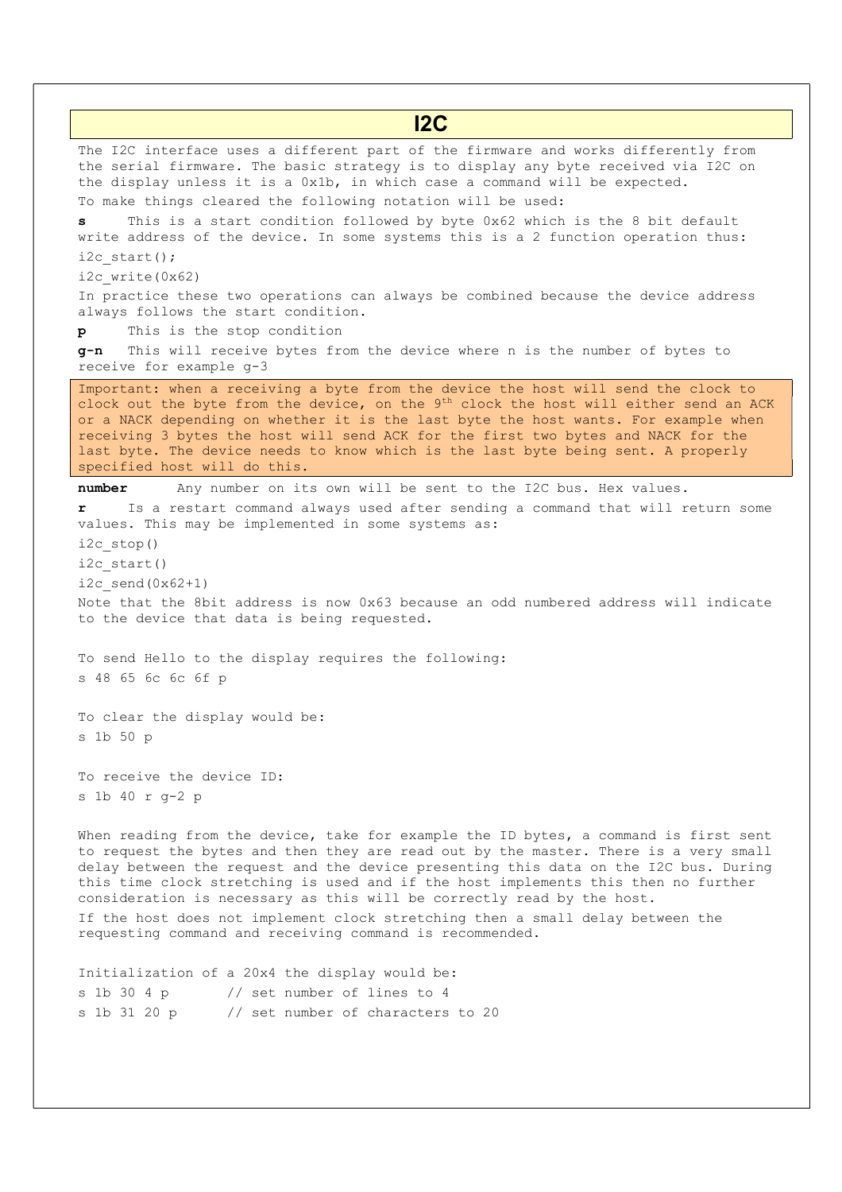**I2C**  The I2C interface uses a different part of the firmware and works differently from the serial firmware. The basic strategy is to display any byte received via I2C on the display unless it is a 0x1b, in which case a command will be expected. To make things cleared the following notation will be used: **s** This is a start condition followed by byte 0x62 which is the 8 bit default write address of the device. In some systems this is a 2 function operation thus: i2c\_start(); i2c\_write(0x62) In practice these two operations can always be combined because the device address always follows the start condition. **p** This is the stop condition **g-n** This will receive bytes from the device where n is the number of bytes to receive for example g-3 Important: when a receiving a byte from the device the host will send the clock to clock out the byte from the device, on the  $9<sup>th</sup>$  clock the host will either send an ACK or a NACK depending on whether it is the last byte the host wants. For example when receiving 3 bytes the host will send ACK for the first two bytes and NACK for the last byte. The device needs to know which is the last byte being sent. A properly specified host will do this. **number** Any number on its own will be sent to the I2C bus. Hex values. **r** Is a restart command always used after sending a command that will return some values. This may be implemented in some systems as: i2c\_stop() i2c\_start() i2c\_send(0x62+1) Note that the 8bit address is now 0x63 because an odd numbered address will indicate to the device that data is being requested. To send Hello to the display requires the following: s 48 65 6c 6c 6f p To clear the display would be: s 1b 50 p To receive the device ID: s 1b 40 r g-2 p When reading from the device, take for example the ID bytes, a command is first sent to request the bytes and then they are read out by the master. There is a very small delay between the request and the device presenting this data on the I2C bus. During this time clock stretching is used and if the host implements this then no further consideration is necessary as this will be correctly read by the host. If the host does not implement clock stretching then a small delay between the requesting command and receiving command is recommended. Initialization of a 20x4 the display would be: s 1b 30 4 p // set number of lines to 4 s 1b 31 20 p // set number of characters to 20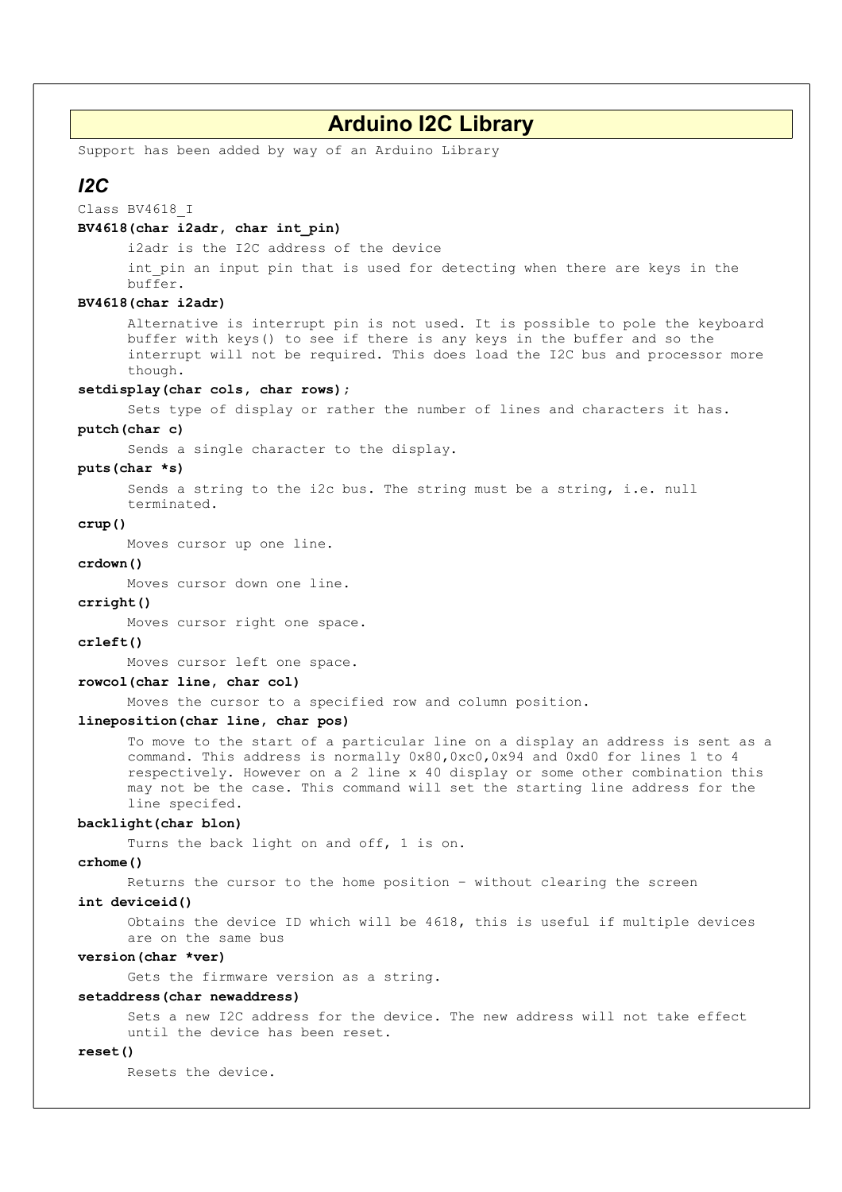**Arduino I2C Library**  Support has been added by way of an Arduino Library *I2C*  Class BV4618\_I **BV4618(char i2adr, char int\_pin)**  i2adr is the I2C address of the device int pin an input pin that is used for detecting when there are keys in the buffer. **BV4618(char i2adr)**  Alternative is interrupt pin is not used. It is possible to pole the keyboard buffer with keys() to see if there is any keys in the buffer and so the interrupt will not be required. This does load the I2C bus and processor more though. **setdisplay(char cols, char rows);**  Sets type of display or rather the number of lines and characters it has. **putch(char c)**  Sends a single character to the display. **puts(char \*s)**  Sends a string to the i2c bus. The string must be a string, i.e. null terminated. **crup()**  Moves cursor up one line. **crdown()**  Moves cursor down one line. **crright()**  Moves cursor right one space. **crleft()**  Moves cursor left one space. **rowcol(char line, char col)**  Moves the cursor to a specified row and column position. **lineposition(char line, char pos)**  To move to the start of a particular line on a display an address is sent as a command. This address is normally 0x80,0xc0,0x94 and 0xd0 for lines 1 to 4 respectively. However on a 2 line x 40 display or some other combination this may not be the case. This command will set the starting line address for the line specifed. **backlight(char blon)**  Turns the back light on and off, 1 is on. **crhome()**  Returns the cursor to the home position – without clearing the screen **int deviceid()**  Obtains the device ID which will be 4618, this is useful if multiple devices are on the same bus **version(char \*ver)**  Gets the firmware version as a string.

#### **setaddress(char newaddress)**

Sets a new I2C address for the device. The new address will not take effect until the device has been reset.

#### **reset()**

Resets the device.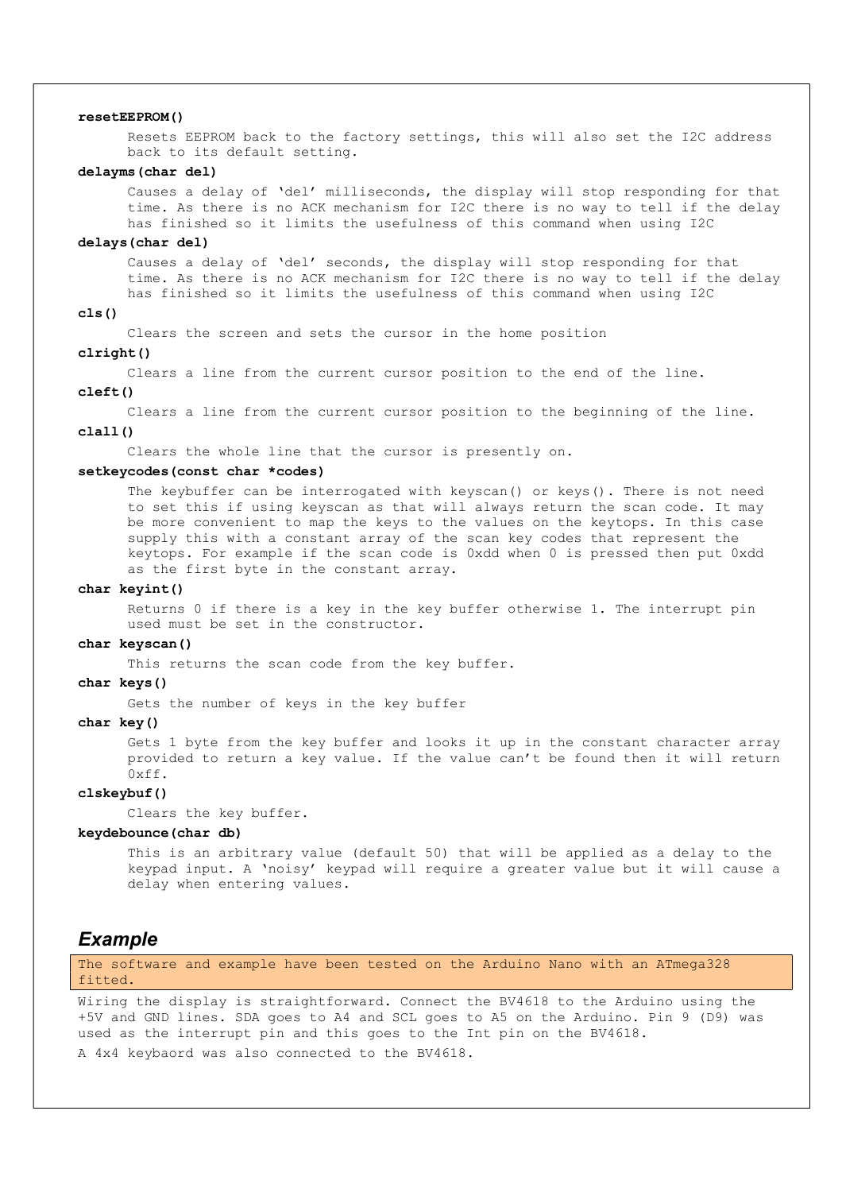#### **resetEEPROM()**

Resets EEPROM back to the factory settings, this will also set the I2C address back to its default setting.

### **delayms(char del)**

Causes a delay of 'del' milliseconds, the display will stop responding for that time. As there is no ACK mechanism for I2C there is no way to tell if the delay has finished so it limits the usefulness of this command when using I2C

#### **delays(char del)**

Causes a delay of 'del' seconds, the display will stop responding for that time. As there is no ACK mechanism for I2C there is no way to tell if the delay has finished so it limits the usefulness of this command when using I2C

#### **cls()**

Clears the screen and sets the cursor in the home position

#### **clright()**

Clears a line from the current cursor position to the end of the line.

## **cleft()**

Clears a line from the current cursor position to the beginning of the line.

#### **clall()**

Clears the whole line that the cursor is presently on.

### **setkeycodes(const char \*codes)**

The keybuffer can be interrogated with keyscan() or keys(). There is not need to set this if using keyscan as that will always return the scan code. It may be more convenient to map the keys to the values on the keytops. In this case supply this with a constant array of the scan key codes that represent the keytops. For example if the scan code is 0xdd when 0 is pressed then put 0xdd as the first byte in the constant array.

#### **char keyint()**

Returns 0 if there is a key in the key buffer otherwise 1. The interrupt pin used must be set in the constructor.

#### **char keyscan()**

This returns the scan code from the key buffer.

### **char keys()**

Gets the number of keys in the key buffer

### **char key()**

Gets 1 byte from the key buffer and looks it up in the constant character array provided to return a key value. If the value can't be found then it will return 0xff.

### **clskeybuf()**

Clears the key buffer.

#### **keydebounce(char db)**

This is an arbitrary value (default 50) that will be applied as a delay to the keypad input. A 'noisy' keypad will require a greater value but it will cause a delay when entering values.

## *Example*

The software and example have been tested on the Arduino Nano with an ATmega328 fitted.

Wiring the display is straightforward. Connect the BV4618 to the Arduino using the +5V and GND lines. SDA goes to A4 and SCL goes to A5 on the Arduino. Pin 9 (D9) was used as the interrupt pin and this goes to the Int pin on the BV4618.

A 4x4 keybaord was also connected to the BV4618.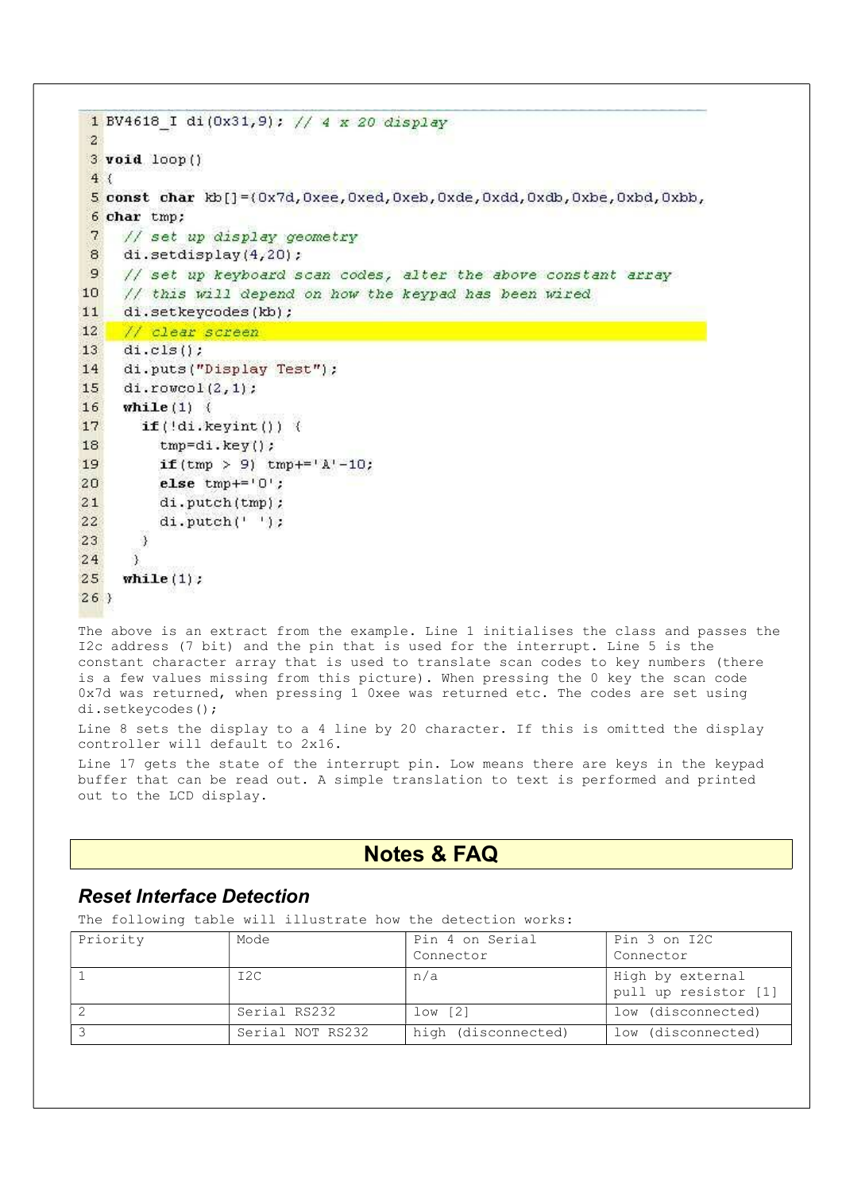```
1 BV4618 I di (0x31,9); // 4 x 20 display
 \overline{2}3 void loop()4(5 const char kb[1=(0x7d, 0xee, 0xed, 0xeb, 0xed, 0xdd, 0xdb, 0xbe, 0xbd, 0xbb,6 char tmp;
     // set up display geometry
 \overline{7}\overline{8}di.setdisplay(4,20);
 \mathbf{9}// set up keyboard scan codes, alter the above constant array
10
     // this will depend on how the keypad has been wired
11di.setkeycodes(kb);
12
     // clear screen
13
     di.cls();
14
     di.puts("Display Test");
15
     di.rowcol(2, 1);
16
     while (1) (
17
       if('di.keyint())18
          tmp=di.key();
19
          if (tmp > 9) tmp+='A'-10;
          else tmp+='0';
20<sup>°</sup>21di.putch(tmp);
22di. putch('');
23\Delta24
      Ä
25while (1) ;
26)
```
The above is an extract from the example. Line 1 initialises the class and passes the I2c address (7 bit) and the pin that is used for the interrupt. Line 5 is the constant character array that is used to translate scan codes to key numbers (there is a few values missing from this picture). When pressing the 0 key the scan code 0x7d was returned, when pressing 1 0xee was returned etc. The codes are set using di.setkeycodes();

Line 8 sets the display to a 4 line by 20 character. If this is omitted the display controller will default to 2x16.

Line 17 gets the state of the interrupt pin. Low means there are keys in the keypad buffer that can be read out. A simple translation to text is performed and printed out to the LCD display.

# **Notes & FAQ**

## *Reset Interface Detection*

The following table will illustrate how the detection works:

| Priority | Mode             | Pin 4 on Serial<br>Connector | Pin 3 on I2C<br>Connector                |
|----------|------------------|------------------------------|------------------------------------------|
|          | I <sub>2</sub> C | n/a                          | High by external<br>pull up resistor [1] |
|          | Serial RS232     | low [2]                      | low (disconnected)                       |
|          | Serial NOT RS232 | high (disconnected)          | low (disconnected)                       |